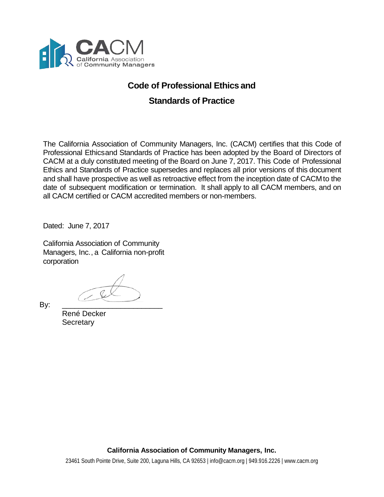

# **Code of Professional Ethics and Standards of Practice**

The California Association of Community Managers, Inc. (CACM) certifies that this Code of Professional Ethicsand Standards of Practice has been adopted by the Board of Directors of CACM at a duly constituted meeting of the Board on June 7, 2017. This Code of Professional Ethics and Standards of Practice supersedes and replaces all prior versions of this document and shall have prospective as well as retroactive effect from the inception date of CACMto the date of subsequent modification or termination. It shall apply to all CACM members, and on all CACM certified or CACM accredited members or non-members.

Dated: June 7, 2017

California Association of Community Managers, Inc., a California non-profit corporation

By: \_\_\_\_\_\_\_\_\_\_\_\_\_\_\_\_\_\_\_\_\_\_\_\_

René Decker **Secretary**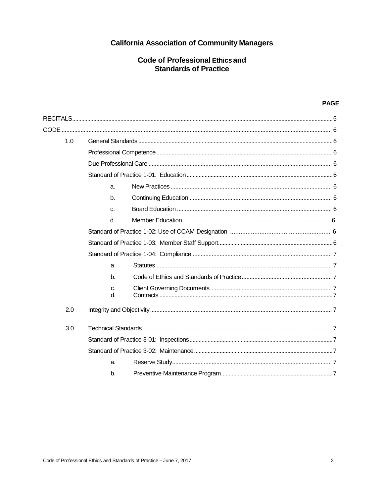## **California Association of Community Managers**

## **Code of Professional Ethics and Standards of Practice**

| 1.0 |    |  |  |
|-----|----|--|--|
|     |    |  |  |
|     |    |  |  |
|     |    |  |  |
|     | a. |  |  |
|     | b. |  |  |
|     | C. |  |  |
|     | d. |  |  |
|     |    |  |  |
|     |    |  |  |
|     |    |  |  |
|     | a. |  |  |
|     | b. |  |  |
|     | C. |  |  |
|     | d. |  |  |
| 2.0 |    |  |  |
| 3.0 |    |  |  |
|     |    |  |  |
|     |    |  |  |
|     | a. |  |  |
|     | b. |  |  |
|     |    |  |  |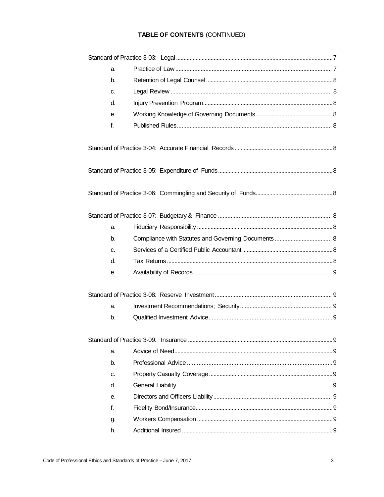## TABLE OF CONTENTS (CONTINUED)

| a. |  |
|----|--|
| b. |  |
| C. |  |
| d. |  |
| е. |  |
| f. |  |
|    |  |
|    |  |
|    |  |
|    |  |
|    |  |
|    |  |
|    |  |
| a. |  |
| b. |  |
| C. |  |
| d. |  |
| е. |  |
|    |  |
| a. |  |
| b. |  |
|    |  |
|    |  |
| a. |  |
| b. |  |
| C. |  |
| d. |  |
| е. |  |
| f. |  |
| g. |  |
| h. |  |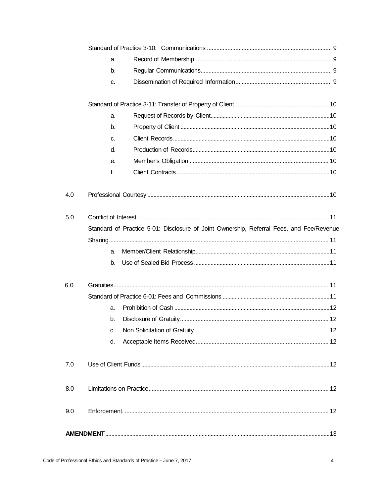|     | a. |                                                                                          |  |  |  |
|-----|----|------------------------------------------------------------------------------------------|--|--|--|
|     | b. |                                                                                          |  |  |  |
|     | C. |                                                                                          |  |  |  |
|     |    |                                                                                          |  |  |  |
|     | a. |                                                                                          |  |  |  |
|     | b. |                                                                                          |  |  |  |
|     | C. |                                                                                          |  |  |  |
|     | d. |                                                                                          |  |  |  |
|     | е. |                                                                                          |  |  |  |
|     | f. |                                                                                          |  |  |  |
| 4.0 |    |                                                                                          |  |  |  |
| 5.0 |    |                                                                                          |  |  |  |
|     |    | Standard of Practice 5-01: Disclosure of Joint Ownership, Referral Fees, and Fee/Revenue |  |  |  |
|     |    |                                                                                          |  |  |  |
|     | a. |                                                                                          |  |  |  |
|     | b. |                                                                                          |  |  |  |
| 6.0 |    |                                                                                          |  |  |  |
|     |    |                                                                                          |  |  |  |
|     | a. |                                                                                          |  |  |  |
|     | b. |                                                                                          |  |  |  |
|     | C. |                                                                                          |  |  |  |
|     | d. |                                                                                          |  |  |  |
| 7.0 |    |                                                                                          |  |  |  |
| 8.0 |    |                                                                                          |  |  |  |
| 9.0 |    |                                                                                          |  |  |  |
|     |    |                                                                                          |  |  |  |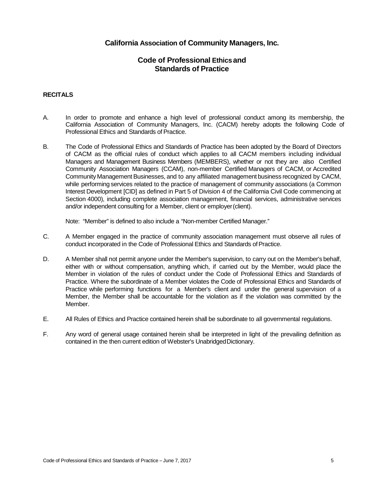### **California Association of Community Managers, Inc.**

### **Code of Professional Ethics and Standards of Practice**

#### **RECITALS**

- A. In order to promote and enhance a high level of professional conduct among its membership, the California Association of Community Managers, Inc. (CACM) hereby adopts the following Code of Professional Ethics and Standards of Practice.
- B. The Code of Professional Ethics and Standards of Practice has been adopted by the Board of Directors of CACM as the official rules of conduct which applies to all CACM members including individual Managers and Management Business Members (MEMBERS), whether or not they are also Certified Community Association Managers (CCAM), non-member Certified Managers of CACM, or Accredited Community Management Businesses, and to any affiliated management business recognized by CACM, while performing services related to the practice of management of community associations (a Common Interest Development [CID] as defined in Part 5 of Division 4 of the California Civil Code commencing at Section 4000), including complete association management, financial services, administrative services and/or independent consulting for a Member, client or employer(client).

Note: "Member" is defined to also include a "Non-member Certified Manager."

- C. A Member engaged in the practice of community association management must observe all rules of conduct incorporated in the Code of Professional Ethics and Standards of Practice.
- D. A Member shall not permit anyone under the Member's supervision, to carry out on the Member's behalf, either with or without compensation, anything which, if carried out by the Member, would place the Member in violation of the rules of conduct under the Code of Professional Ethics and Standards of Practice. Where the subordinate of a Member violates the Code of Professional Ethics and Standards of Practice while performing functions for a Member's client and under the general supervision of a Member, the Member shall be accountable for the violation as if the violation was committed by the Member.
- E. All Rules of Ethics and Practice contained herein shall be subordinate to all governmental regulations.
- F. Any word of general usage contained herein shall be interpreted in light of the prevailing definition as contained in the then current edition of Webster's UnabridgedDictionary.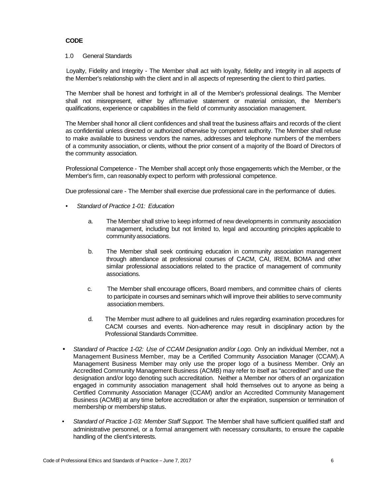#### **CODE**

#### 1.0 General Standards

Loyalty, Fidelity and Integrity - The Member shall act with loyalty, fidelity and integrity in all aspects of the Member's relationship with the client and in all aspects of representing the client to third parties.

The Member shall be honest and forthright in all of the Member's professional dealings. The Member shall not misrepresent, either by affirmative statement or material omission, the Member's qualifications, experience or capabilities in the field of community association management.

The Member shall honor all client confidences and shall treat the business affairs and records of the client as confidential unless directed or authorized otherwise by competent authority. The Member shall refuse to make available to business vendors the names, addresses and telephone numbers of the members of a community association, or clients, without the prior consent of a majority of the Board of Directors of the community association.

Professional Competence - The Member shall accept only those engagements which the Member, or the Member's firm, can reasonably expect to perform with professional competence.

Due professional care - The Member shall exercise due professional care in the performance of duties.

- *Standard of Practice 1-01: Education*
	- a. The Member shall strive to keep informed of new developments in community association management, including but not limited to, legal and accounting principles applicable to communityassociations.
	- b. The Member shall seek continuing education in community association management through attendance at professional courses of CACM, CAI, IREM, BOMA and other similar professional associations related to the practice of management of community associations.
	- c. The Member shall encourage officers, Board members, and committee chairs of clients to participate in courses and seminars which will improve their abilities to serve community association members.
	- d. The Member must adhere to all guidelines and rules regarding examination procedures for CACM courses and events. Non-adherence may result in disciplinary action by the Professional Standards Committee.
- *Standard of Practice 1-02: Use of CCAM Designation and/or Logo.* Only an individual Member, not a Management Business Member, may be a Certified Community Association Manager (CCAM). A Management Business Member may only use the proper logo of a business Member. Only an Accredited Community Management Business (ACMB) may refer to itself as "accredited" and use the designation and/or logo denoting such accreditation. Neither a Member nor others of an organization engaged in community association management shall hold themselves out to anyone as being a Certified Community Association Manager (CCAM) and/or an Accredited Community Management Business (ACMB) at any time before accreditation or after the expiration, suspension or termination of membership or membership status.
- *• Standard of Practice 1-03: Member Staff Support.* The Member shall have sufficient qualified staff and administrative personnel, or a formal arrangement with necessary consultants, to ensure the capable handling of the client's interests.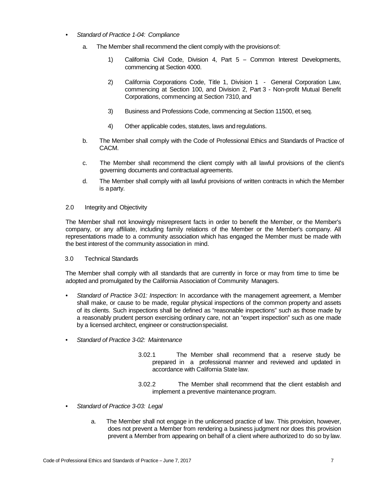- *• Standard of Practice 1-04: Compliance*
	- a. The Member shall recommend the client comply with the provisionsof:
		- 1) California Civil Code, Division 4, Part 5 Common Interest Developments, commencing at Section 4000.
		- 2) California Corporations Code, Title 1, Division 1 General Corporation Law, commencing at Section 100, and Division 2, Part 3 - Non-profit Mutual Benefit Corporations, commencing at Section 7310, and
		- 3) Business and Professions Code, commencing at Section 11500, et seq.
		- 4) Other applicable codes, statutes, laws and regulations.
	- b. The Member shall comply with the Code of Professional Ethics and Standards of Practice of CACM.
	- c. The Member shall recommend the client comply with all lawful provisions of the client's governing documents and contractual agreements.
	- d. The Member shall comply with all lawful provisions of written contracts in which the Member is a party.

#### 2.0 Integrity and Objectivity

The Member shall not knowingly misrepresent facts in order to benefit the Member, or the Member's company, or any affiliate, including family relations of the Member or the Member's company. All representations made to a community association which has engaged the Member must be made with the best interest of the community association in mind.

3.0 Technical Standards

The Member shall comply with all standards that are currently in force or may from time to time be adopted and promulgated by the California Association of Community Managers.

- *Standard of Practice 3-01: Inspection:* In accordance with the management agreement, a Member shall make, or cause to be made, regular physical inspections of the common property and assets of its clients. Such inspections shall be defined as "reasonable inspections" such as those made by a reasonably prudent person exercising ordinary care, not an "expert inspection" such as one made by a licensed architect, engineer or constructionspecialist.
- *Standard of Practice 3-02: Maintenance*
	- 3.02.1 The Member shall recommend that a reserve study be prepared in a professional manner and reviewed and updated in accordance with California State law.
	- 3.02.2 The Member shall recommend that the client establish and implement a preventive maintenance program.
- *Standard of Practice 3-03: Legal*
	- a. The Member shall not engage in the unlicensed practice of law. This provision, however, does not prevent a Member from rendering a business judgment nor does this provision prevent a Member from appearing on behalf of a client where authorized to do so by law.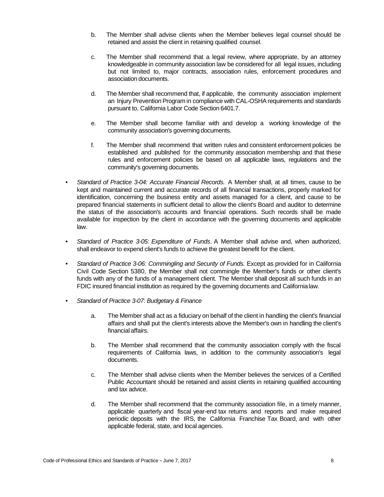- b. The Member shall advise clients when the Member believes legal counsel should be retained and assist the client in retaining qualified counsel.
- c. The Member shall recommend that a legal review, where appropriate, by an attorney knowledgeable in community association law be considered for all legal issues, including but not limited to, major contracts, association rules, enforcement procedures and association documents.
- d. The Member shall recommend that, if applicable, the community association implement an Injury Prevention Program in compliance with CAL-OSHA requirements and standards pursuant to, California Labor Code Section 6401.7.
- e. The Member shall become familiar with and develop a working knowledge of the community association's governing documents.
- f. The Member shall recommend that written rules and consistent enforcement policies be established and published for the community association membership and that these rules and enforcement policies be based on all applicable laws, regulations and the community's governing documents.
- *Standard of Practice 3-04: Accurate Financial Records.* A Member shall, at all times, cause to be kept and maintained current and accurate records of all financial transactions, properly marked for identification, concerning the business entity and assets managed for a client, and cause to be prepared financial statements in sufficient detail to allow the client's Board and auditor to determine the status of the association's accounts and financial operations. Such records shall be made available for inspection by the client in accordance with the governing documents and applicable law.
- *Standard of Practice 3-05: Expenditure of Funds*. A Member shall advise and, when authorized, shall endeavor to expend client's funds to achieve the greatest benefit for the client.
- *Standard of Practice 3-06: Commingling and Security of Funds.* Except as provided for in California Civil Code Section 5380, the Member shall not commingle the Member's funds or other client's funds with any of the funds of a management client. The Member shall deposit all such funds in an FDIC insured financial institution as required by the governing documents and Californialaw.
- *Standard of Practice 3-07: Budgetary & Finance*
	- a. The Member shall act as a fiduciary on behalf of the client in handling the client's financial affairs and shall put the client's interests above the Member's own in handling the client's financial affairs.
	- b. The Member shall recommend that the community association comply with the fiscal requirements of California laws, in addition to the community association's legal documents.
	- c. The Member shall advise clients when the Member believes the services of a Certified Public Accountant should be retained and assist clients in retaining qualified accounting and tax advice.
	- d. The Member shall recommend that the community association file, in a timely manner, applicable quarterly and fiscal year-end tax returns and reports and make required periodic deposits with the IRS, the California Franchise Tax Board, and with other applicable federal, state, and local agencies.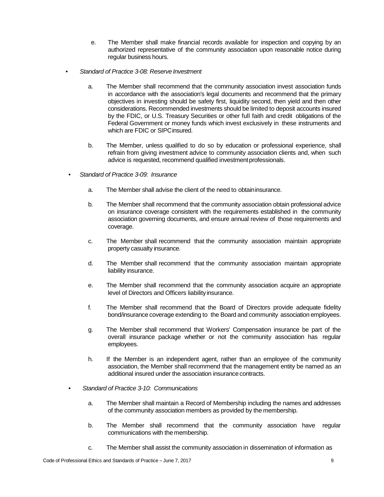- e. The Member shall make financial records available for inspection and copying by an authorized representative of the community association upon reasonable notice during regular business hours.
- *Standard of Practice 3-08: Reserve Investment*
	- a. The Member shall recommend that the community association invest association funds in accordance with the association's legal documents and recommend that the primary objectives in investing should be safety first, liquidity second, then yield and then other considerations. Recommended investments should be limited to deposit accounts insured by the FDIC, or U.S. Treasury Securities or other full faith and credit obligations of the Federal Government or money funds which invest exclusively in these instruments and which are FDIC or SIPC insured.
	- b. The Member, unless qualified to do so by education or professional experience, shall refrain from giving investment advice to community association clients and, when such advice is requested, recommend qualified investment professionals.
- *Standard of Practice 3-09: Insurance*
	- a. The Member shall advise the client of the need to obtaininsurance.
	- b. The Member shall recommend that the community association obtain professional advice on insurance coverage consistent with the requirements established in the community association governing documents, and ensure annual review of those requirements and coverage.
	- c. The Member shall recommend that the community association maintain appropriate property casualty insurance.
	- d. The Member shall recommend that the community association maintain appropriate liability insurance.
	- e. The Member shall recommend that the community association acquire an appropriate level of Directors and Officers liability insurance.
	- f. The Member shall recommend that the Board of Directors provide adequate fidelity bond/insurance coverage extending to the Board and community association employees.
	- g. The Member shall recommend that Workers' Compensation insurance be part of the overall insurance package whether or not the community association has regular employees.
	- h. If the Member is an independent agent, rather than an employee of the community association, the Member shall recommend that the management entity be named as an additional insured under the association insurance contracts.
- *Standard of Practice 3-10: Communications*
	- a. The Member shall maintain a Record of Membership including the names and addresses of the community association members as provided by the membership.
	- b. The Member shall recommend that the community association have regular communications with the membership.
	- c. The Member shall assist the community association in dissemination of information as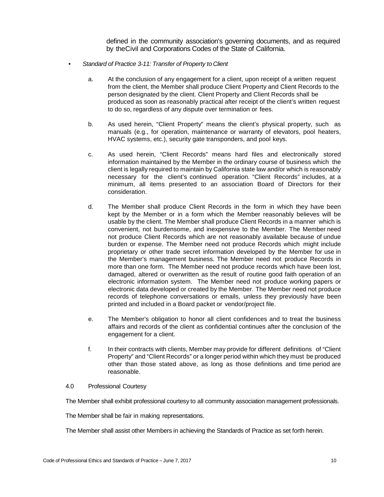defined in the community association's governing documents, and as required by theCivil and Corporations Codes of the State of California.

- *Standard of Practice 3-11: Transfer of Property to Client*
	- a. At the conclusion of any engagement for a client, upon receipt of a written request from the client, the Member shall produce Client Property and Client Records to the person designated by the client. Client Property and Client Records shall be produced as soon as reasonably practical after receipt of the client's written request to do so, regardless of any dispute over termination or fees.
	- b. As used herein, "Client Property" means the client's physical property, such as manuals (e.g., for operation, maintenance or warranty of elevators, pool heaters, HVAC systems, etc.), security gate transponders, and pool keys.
	- c. As used herein, "Client Records" means hard files and electronically stored information maintained by the Member in the ordinary course of business which the client is legally required to maintain by California state law and/or which is reasonably necessary for the client's continued operation. "Client Records" includes, at a minimum, all items presented to an association Board of Directors for their consideration.
	- d. The Member shall produce Client Records in the form in which they have been kept by the Member or in a form which the Member reasonably believes will be usable by the client. The Member shall produce Client Records in a manner which is convenient, not burdensome, and inexpensive to the Member. The Member need not produce Client Records which are not reasonably available because of undue burden or expense. The Member need not produce Records which might include proprietary or other trade secret information developed by the Member for use in the Member's management business. The Member need not produce Records in more than one form. The Member need not produce records which have been lost, damaged, altered or overwritten as the result of routine good faith operation of an electronic information system. The Member need not produce working papers or electronic data developed or created by the Member. The Member need not produce records of telephone conversations or emails, unless they previously have been printed and included in a Board packet or vendor/project file.
	- e. The Member's obligation to honor all client confidences and to treat the business affairs and records of the client as confidential continues after the conclusion of the engagement for a client.
	- f. In their contracts with clients, Member may provide for different definitions of "Client Property" and "Client Records" or a longer period within which they must be produced other than those stated above, as long as those definitions and time period are reasonable.

#### 4.0 Professional Courtesy

The Member shall exhibit professional courtesy to all community association management professionals.

The Member shall be fair in making representations.

The Member shall assist other Members in achieving the Standards of Practice as set forth herein.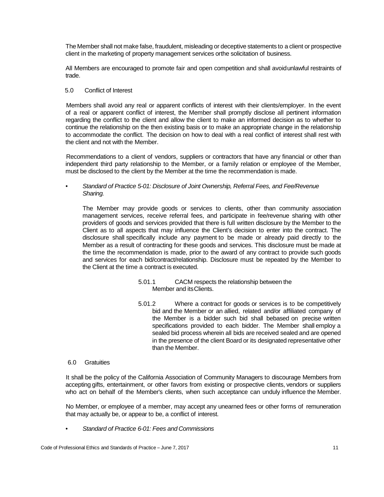The Member shall not make false, fraudulent, misleading or deceptive statements to a client or prospective client in the marketing of property management services orthe solicitation of business.

All Members are encouraged to promote fair and open competition and shall avoidunlawful restraints of trade.

#### 5.0 Conflict of Interest

Members shall avoid any real or apparent conflicts of interest with their clients/employer. In the event of a real or apparent conflict of interest, the Member shall promptly disclose all pertinent information regarding the conflict to the client and allow the client to make an informed decision as to whether to continue the relationship on the then existing basis or to make an appropriate change in the relationship to accommodate the conflict. The decision on how to deal with a real conflict of interest shall rest with the client and not with the Member.

Recommendations to a client of vendors, suppliers or contractors that have any financial or other than independent third party relationship to the Member, or a family relation or employee of the Member, must be disclosed to the client by the Member at the time the recommendation is made.

• *Standard of Practice 5-01: Disclosure of Joint Ownership, Referral Fees, and Fee/Revenue Sharing.*

The Member may provide goods or services to clients, other than community association management services, receive referral fees, and participate in fee/revenue sharing with other providers of goods and services provided that there is full written disclosure by the Member to the Client as to all aspects that may influence the Client's decision to enter into the contract. The disclosure shall specifically include any payment to be made or already paid directly to the Member as a result of contracting for these goods and services. This disclosure must be made at the time the recommendation is made, prior to the award of any contract to provide such goods and services for each bid/contract/relationship. Disclosure must be repeated by the Member to the Client at the time a contract is executed.

- 5.01.1 CACM respects the relationship between the Member and itsClients.
- 5.01.2 Where a contract for goods or services is to be competitively bid and the Member or an allied, related and/or affiliated company of the Member is a bidder such bid shall bebased on precise written specifications provided to each bidder. The Member shall employ a sealed bid process wherein all bids are received sealed and are opened in the presence of the client Board or its designated representative other than the Member.

#### 6.0 Gratuities

It shall be the policy of the California Association of Community Managers to discourage Members from accepting gifts, entertainment, or other favors from existing or prospective clients, vendors or suppliers who act on behalf of the Member's clients, when such acceptance can unduly influence the Member.

No Member, or employee of a member, may accept any unearned fees or other forms of remuneration that may actually be, or appear to be, a conflict of interest.

• *Standard of Practice 6-01: Fees and Commissions*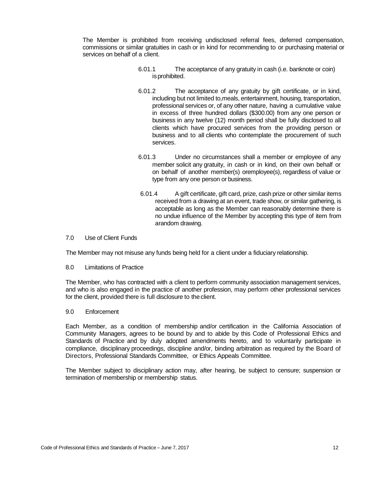The Member is prohibited from receiving undisclosed referral fees, deferred compensation, commissions or similar gratuities in cash or in kind for recommending to or purchasing material or services on behalf of a client.

- 6.01.1 The acceptance of any gratuity in cash (i.e. banknote or coin) is prohibited.
- 6.01.2 The acceptance of any gratuity by gift certificate, or in kind, including but not limited to,meals, entertainment, housing, transportation, professional services or, of any other nature, having a cumulative value in excess of three hundred dollars (\$300.00) from any one person or business in any twelve (12) month period shall be fully disclosed to all clients which have procured services from the providing person or business and to all clients who contemplate the procurement of such services.
- 6.01.3 Under no circumstances shall a member or employee of any member solicit any gratuity, in cash or in kind, on their own behalf or on behalf of another member(s) oremployee(s), regardless of value or type from any one person or business.
- 6.01.4 A gift certificate, gift card, prize, cash prize or other similar items received from a drawing at an event, trade show, or similar gathering, is acceptable as long as the Member can reasonably determine there is no undue influence of the Member by accepting this type of item from arandom drawing.

#### 7.0 Use of Client Funds

The Member may not misuse any funds being held for a client under a fiduciary relationship.

8.0 Limitations of Practice

The Member, who has contracted with a client to perform community association management services, and who is also engaged in the practice of another profession, may perform other professional services for the client, provided there is full disclosure to theclient.

#### 9.0 Enforcement

Each Member, as a condition of membership and/or certification in the California Association of Community Managers, agrees to be bound by and to abide by this Code of Professional Ethics and Standards of Practice and by duly adopted amendments hereto, and to voluntarily participate in compliance, disciplinary proceedings, discipline and/or, binding arbitration as required by the Board of Directors, Professional Standards Committee, or Ethics Appeals Committee.

The Member subject to disciplinary action may, after hearing, be subject to censure; suspension or termination of membership or membership status.